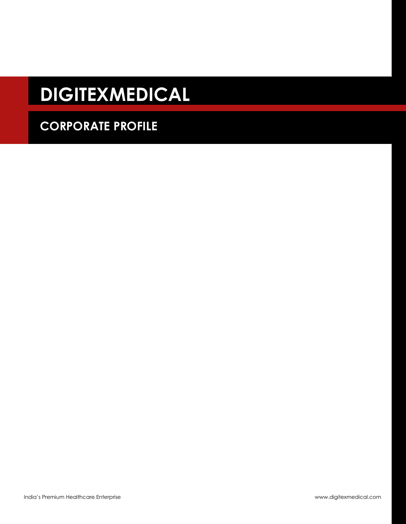# **DIGITEXMEDICAL**

# **CORPORATE PROFILE**